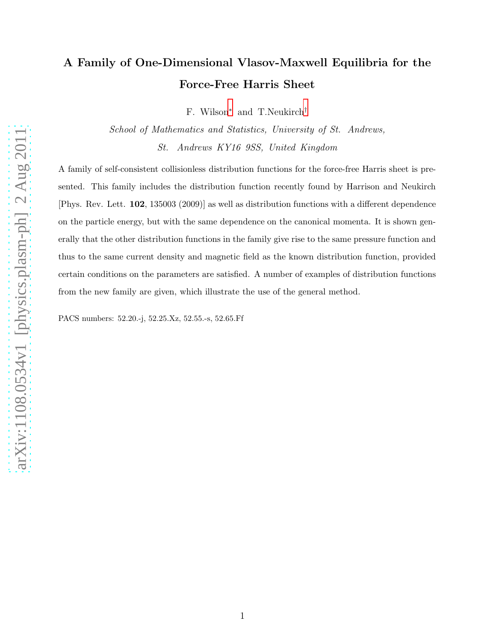# A Family of One-Dimensional Vlasov-Maxwell Equilibria for the Force-Free Harris Sheet

F. Wilson[∗](#page-18-0) and T.Neukirch[†](#page-18-1)

School of Mathematics and Statistics, University of St. Andrews, St. Andrews KY16 9SS, United Kingdom

A family of self-consistent collisionless distribution functions for the force-free Harris sheet is presented. This family includes the distribution function recently found by Harrison and Neukirch [Phys. Rev. Lett. 102, 135003 (2009)] as well as distribution functions with a different dependence on the particle energy, but with the same dependence on the canonical momenta. It is shown generally that the other distribution functions in the family give rise to the same pressure function and thus to the same current density and magnetic field as the known distribution function, provided certain conditions on the parameters are satisfied. A number of examples of distribution functions from the new family are given, which illustrate the use of the general method.

PACS numbers: 52.20.-j, 52.25.Xz, 52.55.-s, 52.65.Ff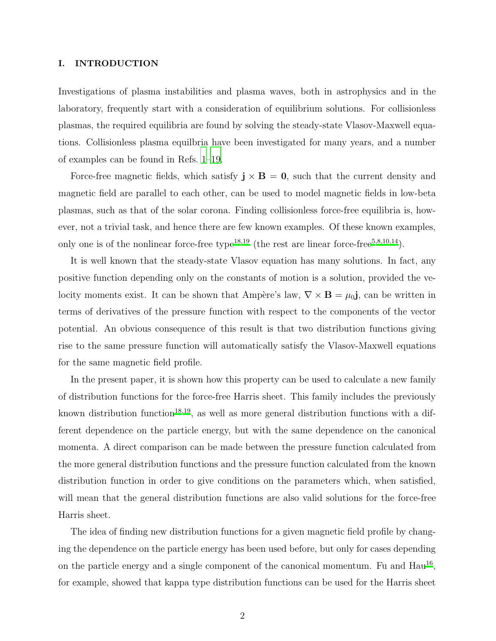#### I. INTRODUCTION

Investigations of plasma instabilities and plasma waves, both in astrophysics and in the laboratory, frequently start with a consideration of equilibrium solutions. For collisionless plasmas, the required equilibria are found by solving the steady-state Vlasov-Maxwell equations. Collisionless plasma equilbria have been investigated for many years, and a number of examples can be found in Refs. [1](#page-18-2)[–19](#page-18-3).

Force-free magnetic fields, which satisfy  $\mathbf{j} \times \mathbf{B} = \mathbf{0}$ , such that the current density and magnetic field are parallel to each other, can be used to model magnetic fields in low-beta plasmas, such as that of the solar corona. Finding collisionless force-free equilibria is, however, not a trivial task, and hence there are few known examples. Of these known examples, only one is of the nonlinear force-free type<sup>[18](#page-18-4)[,19](#page-18-3)</sup> (the rest are linear force-free<sup>[5](#page-18-5)[,8](#page-18-6)[,10](#page-18-7)[,14](#page-18-8)</sup>).

It is well known that the steady-state Vlasov equation has many solutions. In fact, any positive function depending only on the constants of motion is a solution, provided the velocity moments exist. It can be shown that Ampère's law,  $\nabla \times \mathbf{B} = \mu_0 \mathbf{j}$ , can be written in terms of derivatives of the pressure function with respect to the components of the vector potential. An obvious consequence of this result is that two distribution functions giving rise to the same pressure function will automatically satisfy the Vlasov-Maxwell equations for the same magnetic field profile.

In the present paper, it is shown how this property can be used to calculate a new family of distribution functions for the force-free Harris sheet. This family includes the previously known distribution function<sup>[18](#page-18-4)[,19](#page-18-3)</sup>, as well as more general distribution functions with a different dependence on the particle energy, but with the same dependence on the canonical momenta. A direct comparison can be made between the pressure function calculated from the more general distribution functions and the pressure function calculated from the known distribution function in order to give conditions on the parameters which, when satisfied, will mean that the general distribution functions are also valid solutions for the force-free Harris sheet.

The idea of finding new distribution functions for a given magnetic field profile by changing the dependence on the particle energy has been used before, but only for cases depending on the particle energy and a single component of the canonical momentum. Fu and Hau<sup>[16](#page-18-9)</sup>, for example, showed that kappa type distribution functions can be used for the Harris sheet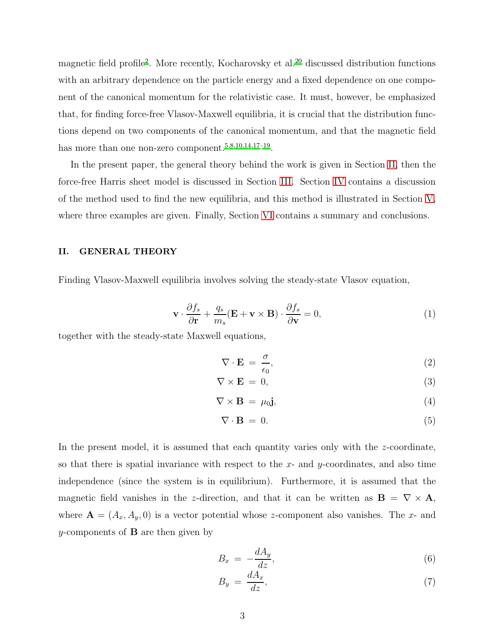magnetic field profile<sup>[2](#page-18-10)</sup>. More recently, Kocharovsky et al.<sup>[20](#page-18-11)</sup> discussed distribution functions with an arbitrary dependence on the particle energy and a fixed dependence on one component of the canonical momentum for the relativistic case. It must, however, be emphasized that, for finding force-free Vlasov-Maxwell equilibria, it is crucial that the distribution functions depend on two components of the canonical momentum, and that the magnetic field has more than one non-zero component.<sup>[5](#page-18-5)[,8](#page-18-6)[,10](#page-18-7)[,14](#page-18-8)[,17](#page-18-12)[–19](#page-18-3)</sup>.

In the present paper, the general theory behind the work is given in Section [II,](#page-2-0) then the force-free Harris sheet model is discussed in Section [III.](#page-4-0) Section [IV](#page-7-0) contains a discussion of the method used to find the new equilibria, and this method is illustrated in Section [V,](#page-10-0) where three examples are given. Finally, Section [VI](#page-16-0) contains a summary and conclusions.

#### <span id="page-2-0"></span>II. GENERAL THEORY

Finding Vlasov-Maxwell equilibria involves solving the steady-state Vlasov equation,

<span id="page-2-2"></span>
$$
\mathbf{v} \cdot \frac{\partial f_s}{\partial \mathbf{r}} + \frac{q_s}{m_s} (\mathbf{E} + \mathbf{v} \times \mathbf{B}) \cdot \frac{\partial f_s}{\partial \mathbf{v}} = 0,
$$
 (1)

together with the steady-state Maxwell equations,

<span id="page-2-1"></span>
$$
\nabla \cdot \mathbf{E} = \frac{\sigma}{\epsilon_0},\tag{2}
$$

$$
\nabla \times \mathbf{E} = 0,\tag{3}
$$

$$
\nabla \times \mathbf{B} = \mu_0 \mathbf{j},\tag{4}
$$

$$
\nabla \cdot \mathbf{B} = 0. \tag{5}
$$

In the present model, it is assumed that each quantity varies only with the  $z$ -coordinate, so that there is spatial invariance with respect to the  $x$ - and  $y$ -coordinates, and also time independence (since the system is in equilibrium). Furthermore, it is assumed that the magnetic field vanishes in the z-direction, and that it can be written as  $\mathbf{B} = \nabla \times \mathbf{A}$ , where  $\mathbf{A} = (A_x, A_y, 0)$  is a vector potential whose z-component also vanishes. The x- and y-components of  $\bf{B}$  are then given by

<span id="page-2-3"></span>
$$
B_x = -\frac{dA_y}{dz},\tag{6}
$$

$$
B_y = \frac{dA_x}{dz},\tag{7}
$$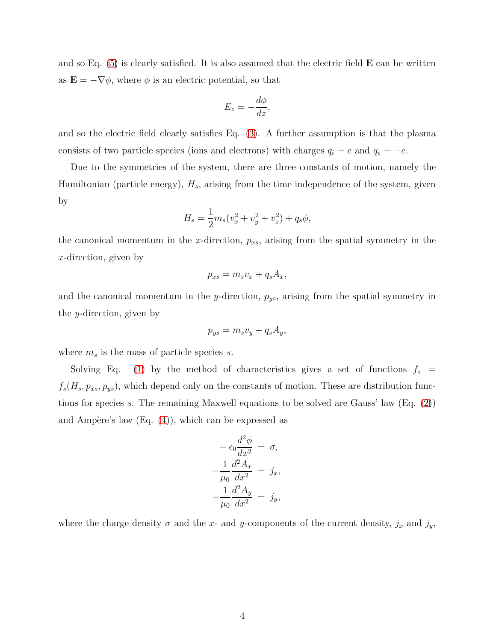and so Eq.  $(5)$  is clearly satisfied. It is also assumed that the electric field  $\bf{E}$  can be written as  $\mathbf{E} = -\nabla \phi$ , where  $\phi$  is an electric potential, so that

$$
E_z = -\frac{d\phi}{dz},
$$

and so the electric field clearly satisfies Eq. [\(3\)](#page-2-1). A further assumption is that the plasma consists of two particle species (ions and electrons) with charges  $q_i = e$  and  $q_e = -e$ .

Due to the symmetries of the system, there are three constants of motion, namely the Hamiltonian (particle energy),  $H_s$ , arising from the time independence of the system, given by

$$
H_s = \frac{1}{2}m_s(v_x^2 + v_y^2 + v_z^2) + q_s\phi,
$$

the canonical momentum in the x-direction,  $p_{xs}$ , arising from the spatial symmetry in the x-direction, given by

$$
p_{xs} = m_s v_x + q_s A_x,
$$

and the canonical momentum in the y-direction,  $p_{ys}$ , arising from the spatial symmetry in the y-direction, given by

$$
p_{ys} = m_s v_y + q_s A_y,
$$

where  $m_s$  is the mass of particle species s.

Solving Eq. [\(1\)](#page-2-2) by the method of characteristics gives a set of functions  $f_s =$  $f_s(H_s, p_{xs}, p_{ys})$ , which depend only on the constants of motion. These are distribution functions for species s. The remaining Maxwell equations to be solved are Gauss' law (Eq. [\(2\)](#page-2-1)) and Ampère's law  $(Eq. (4))$  $(Eq. (4))$  $(Eq. (4))$ , which can be expressed as

$$
- \epsilon_0 \frac{d^2 \phi}{dx^2} = \sigma,
$$
  

$$
- \frac{1}{\mu_0} \frac{d^2 A_x}{dx^2} = j_x,
$$
  

$$
- \frac{1}{\mu_0} \frac{d^2 A_y}{dx^2} = j_y,
$$

where the charge density  $\sigma$  and the x- and y-components of the current density,  $j_x$  and  $j_y$ ,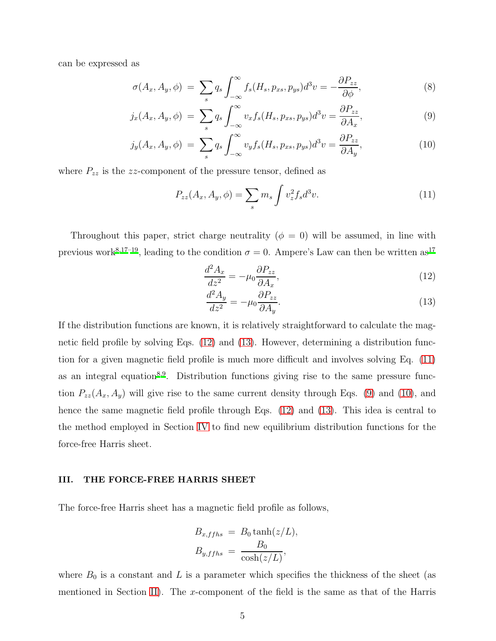can be expressed as

<span id="page-4-3"></span>
$$
\sigma(A_x, A_y, \phi) = \sum_s q_s \int_{-\infty}^{\infty} f_s(H_s, p_{xs}, p_{ys}) d^3 v = -\frac{\partial P_{zz}}{\partial \phi}, \tag{8}
$$

$$
j_x(A_x, A_y, \phi) = \sum_s q_s \int_{-\infty}^{\infty} v_x f_s(H_s, p_{xs}, p_{ys}) d^3 v = \frac{\partial P_{zz}}{\partial A_x}, \tag{9}
$$

$$
j_y(A_x, A_y, \phi) = \sum_s q_s \int_{-\infty}^{\infty} v_y f_s(H_s, p_{xs}, p_{ys}) d^3 v = \frac{\partial P_{zz}}{\partial A_y},\tag{10}
$$

where  $P_{zz}$  is the zz-component of the pressure tensor, defined as

<span id="page-4-2"></span>
$$
P_{zz}(A_x, A_y, \phi) = \sum_s m_s \int v_z^2 f_s d^3 v. \tag{11}
$$

Throughout this paper, strict charge neutrality ( $\phi = 0$ ) will be assumed, in line with previous work<sup>[8](#page-18-6)[,17](#page-18-12)[–19](#page-18-3)</sup>, leading to the condition  $\sigma = 0$ . Ampere's Law can then be written as<sup>[17](#page-18-12)</sup>

<span id="page-4-1"></span>
$$
\frac{d^2A_x}{dz^2} = -\mu_0 \frac{\partial P_{zz}}{\partial A_x},\tag{12}
$$

$$
\frac{d^2A_y}{dz^2} = -\mu_0 \frac{\partial P_{zz}}{\partial A_y}.\tag{13}
$$

If the distribution functions are known, it is relatively straightforward to calculate the magnetic field profile by solving Eqs. [\(12\)](#page-4-1) and [\(13\)](#page-4-1). However, determining a distribution function for a given magnetic field profile is much more difficult and involves solving Eq. [\(11\)](#page-4-2) as an integral equation<sup>[8](#page-18-6)[,9](#page-18-13)</sup>. Distribution functions giving rise to the same pressure function  $P_{zz}(A_x, A_y)$  will give rise to the same current density through Eqs. [\(9\)](#page-4-3) and [\(10\)](#page-4-3), and hence the same magnetic field profile through Eqs. [\(12\)](#page-4-1) and [\(13\)](#page-4-1). This idea is central to the method employed in Section [IV](#page-7-0) to find new equilibrium distribution functions for the force-free Harris sheet.

#### <span id="page-4-0"></span>III. THE FORCE-FREE HARRIS SHEET

The force-free Harris sheet has a magnetic field profile as follows,

$$
B_{x,ffhs} = B_0 \tanh(z/L),
$$
  
\n
$$
B_{y,ffhs} = \frac{B_0}{\cosh(z/L)},
$$

where  $B_0$  is a constant and L is a parameter which specifies the thickness of the sheet (as mentioned in Section [II\)](#page-2-0). The x-component of the field is the same as that of the Harris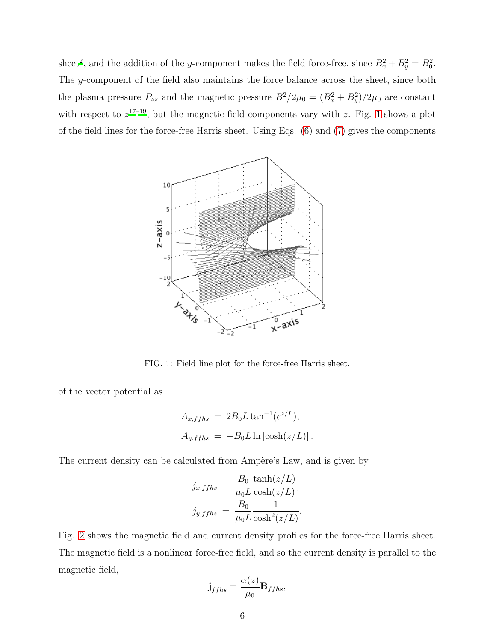sheet<sup>[2](#page-18-10)</sup>, and the addition of the y-component makes the field force-free, since  $B_x^2 + B_y^2 = B_0^2$ . The y-component of the field also maintains the force balance across the sheet, since both the plasma pressure  $P_{zz}$  and the magnetic pressure  $B^2/2\mu_0 = (B_x^2 + B_y^2)/2\mu_0$  are constant with respect to  $z^{17-19}$  $z^{17-19}$  $z^{17-19}$ , but the magnetic field components vary with z. Fig. [1](#page-5-0) shows a plot of the field lines for the force-free Harris sheet. Using Eqs. [\(6\)](#page-2-3) and [\(7\)](#page-2-3) gives the components



<span id="page-5-0"></span>FIG. 1: Field line plot for the force-free Harris sheet.

of the vector potential as

$$
A_{x,ffhs} = 2B_0 L \tan^{-1}(e^{z/L}),
$$
  

$$
A_{y,ffhs} = -B_0 L \ln[\cosh(z/L)].
$$

The current density can be calculated from Ampère's Law, and is given by

$$
j_{x,ffhs} = \frac{B_0}{\mu_0 L} \frac{\tanh(z/L)}{\cosh(z/L)},
$$

$$
j_{y,ffhs} = \frac{B_0}{\mu_0 L} \frac{1}{\cosh^2(z/L)}.
$$

Fig. [2](#page-6-0) shows the magnetic field and current density profiles for the force-free Harris sheet. The magnetic field is a nonlinear force-free field, and so the current density is parallel to the magnetic field,

$$
\mathbf{j}_{ffhs} = \frac{\alpha(z)}{\mu_0} \mathbf{B}_{ffhs},
$$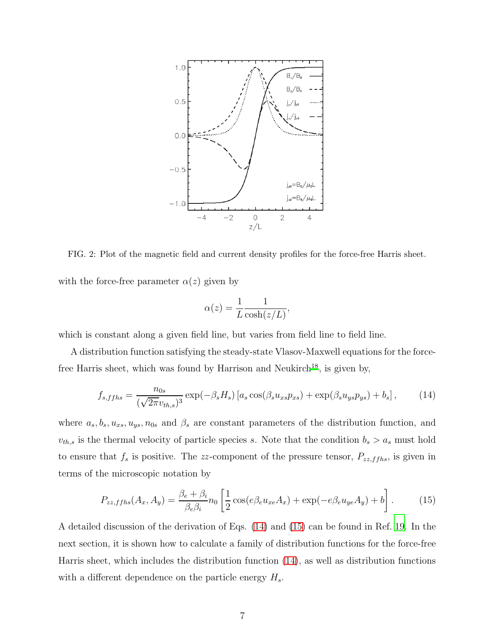

<span id="page-6-0"></span>FIG. 2: Plot of the magnetic field and current density profiles for the force-free Harris sheet.

with the force-free parameter  $\alpha(z)$  given by

$$
\alpha(z) = \frac{1}{L} \frac{1}{\cosh(z/L)},
$$

which is constant along a given field line, but varies from field line to field line.

A distribution function satisfying the steady-state Vlasov-Maxwell equations for the force-free Harris sheet, which was found by Harrison and Neukirch<sup>[18](#page-18-4)</sup>, is given by,

<span id="page-6-1"></span>
$$
f_{s,ffhs} = \frac{n_{0s}}{(\sqrt{2\pi}v_{th,s})^3} \exp(-\beta_s H_s) \left[a_s \cos(\beta_s u_{xs} p_{xs}) + \exp(\beta_s u_{ys} p_{ys}) + b_s\right],\tag{14}
$$

where  $a_s, b_s, u_{xs}, u_{ys}, n_{0s}$  and  $\beta_s$  are constant parameters of the distribution function, and  $v_{th,s}$  is the thermal velocity of particle species s. Note that the condition  $b_s > a_s$  must hold to ensure that  $f_s$  is positive. The zz-component of the pressure tensor,  $P_{zz,ffhs}$ , is given in terms of the microscopic notation by

<span id="page-6-2"></span>
$$
P_{zz,ffhs}(A_x, A_y) = \frac{\beta_e + \beta_i}{\beta_e \beta_i} n_0 \left[ \frac{1}{2} \cos(e\beta_e u_{xe} A_x) + \exp(-e\beta_e u_{ye} A_y) + b \right].
$$
 (15)

A detailed discussion of the derivation of Eqs. [\(14\)](#page-6-1) and [\(15\)](#page-6-2) can be found in Ref. [19](#page-18-3). In the next section, it is shown how to calculate a family of distribution functions for the force-free Harris sheet, which includes the distribution function [\(14\)](#page-6-1), as well as distribution functions with a different dependence on the particle energy  $H_s$ .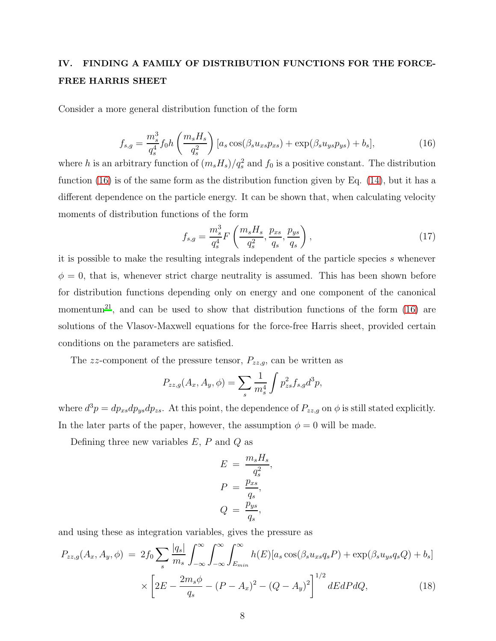# <span id="page-7-0"></span>IV. FINDING A FAMILY OF DISTRIBUTION FUNCTIONS FOR THE FORCE-FREE HARRIS SHEET

Consider a more general distribution function of the form

<span id="page-7-1"></span>
$$
f_{s,g} = \frac{m_s^3}{q_s^4} f_0 h\left(\frac{m_s H_s}{q_s^2}\right) [a_s \cos(\beta_s u_{xs} p_{xs}) + \exp(\beta_s u_{ys} p_{ys}) + b_s],\tag{16}
$$

where h is an arbitrary function of  $(m_s H_s)/q_s^2$  and  $f_0$  is a positive constant. The distribution function [\(16\)](#page-7-1) is of the same form as the distribution function given by Eq. [\(14\)](#page-6-1), but it has a different dependence on the particle energy. It can be shown that, when calculating velocity moments of distribution functions of the form

$$
f_{s,g} = \frac{m_s^3}{q_s^4} F\left(\frac{m_s H_s}{q_s^2}, \frac{p_{xs}}{q_s}, \frac{p_{ys}}{q_s}\right),\tag{17}
$$

it is possible to make the resulting integrals independent of the particle species s whenever  $\phi = 0$ , that is, whenever strict charge neutrality is assumed. This has been shown before for distribution functions depending only on energy and one component of the canonical momentum<sup>[21](#page-19-0)</sup>, and can be used to show that distribution functions of the form  $(16)$  are solutions of the Vlasov-Maxwell equations for the force-free Harris sheet, provided certain conditions on the parameters are satisfied.

The zz-component of the pressure tensor,  $P_{zz,q}$ , can be written as

$$
P_{zz,g}(A_x, A_y, \phi) = \sum_s \frac{1}{m_s^4} \int p_{zs}^2 f_{s,g} d^3p,
$$

where  $d^3p = dp_{xs}dp_{ys}dp_{zs}$ . At this point, the dependence of  $P_{zz,g}$  on  $\phi$  is still stated explicitly. In the later parts of the paper, however, the assumption  $\phi = 0$  will be made.

Defining three new variables  $E, P$  and  $Q$  as

$$
E = \frac{m_s H_s}{q_s^2}
$$

$$
P = \frac{p_{xs}}{q_s},
$$

$$
Q = \frac{p_{ys}}{q_s},
$$

,

and using these as integration variables, gives the pressure as

<span id="page-7-2"></span>
$$
P_{zz,g}(A_x, A_y, \phi) = 2f_0 \sum_{s} \frac{|q_s|}{m_s} \int_{-\infty}^{\infty} \int_{-\infty}^{\infty} \int_{E_{min}}^{\infty} h(E) [a_s \cos(\beta_s u_{xs} q_s P) + \exp(\beta_s u_{ys} q_s Q) + b_s]
$$

$$
\times \left[ 2E - \frac{2m_s \phi}{q_s} - (P - A_x)^2 - (Q - A_y)^2 \right]^{1/2} dEdP dQ, \tag{18}
$$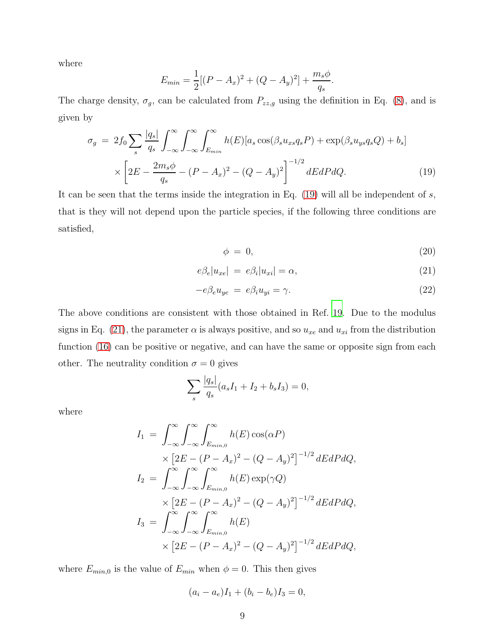where

$$
E_{min} = \frac{1}{2} [(P - A_x)^2 + (Q - A_y)^2] + \frac{m_s \phi}{q_s}.
$$

The charge density,  $\sigma_g$ , can be calculated from  $P_{zz,g}$  using the definition in Eq. [\(8\)](#page-4-3), and is given by

<span id="page-8-0"></span>
$$
\sigma_g = 2f_0 \sum_s \frac{|q_s|}{q_s} \int_{-\infty}^{\infty} \int_{-\infty}^{\infty} \int_{E_{min}}^{\infty} h(E) [a_s \cos(\beta_s u_{xs} q_s P) + \exp(\beta_s u_{ys} q_s Q) + b_s]
$$
  
 
$$
\times \left[2E - \frac{2m_s \phi}{q_s} - (P - A_x)^2 - (Q - A_y)^2\right]^{-1/2} dEdP dQ.
$$
 (19)

It can be seen that the terms inside the integration in Eq.  $(19)$  will all be independent of s, that is they will not depend upon the particle species, if the following three conditions are satisfied,

<span id="page-8-1"></span>
$$
\phi = 0,\tag{20}
$$

$$
e\beta_e|u_{xe}| = e\beta_i|u_{xi}| = \alpha,
$$
\n(21)

$$
-e\beta_e u_{ye} = e\beta_i u_{yi} = \gamma.
$$
\n(22)

The above conditions are consistent with those obtained in Ref. [19.](#page-18-3) Due to the modulus signs in Eq. [\(21\)](#page-8-1), the parameter  $\alpha$  is always positive, and so  $u_{xe}$  and  $u_{xi}$  from the distribution function [\(16\)](#page-7-1) can be positive or negative, and can have the same or opposite sign from each other. The neutrality condition  $\sigma = 0$  gives

$$
\sum_{s} \frac{|q_s|}{q_s} (a_s I_1 + I_2 + b_s I_3) = 0,
$$

where

$$
I_{1} = \int_{-\infty}^{\infty} \int_{-\infty}^{\infty} \int_{E_{min,0}}^{\infty} h(E) \cos(\alpha P)
$$
  
 
$$
\times [2E - (P - A_{x})^{2} - (Q - A_{y})^{2}]^{-1/2} dEdP dQ,
$$
  
\n
$$
I_{2} = \int_{-\infty}^{\infty} \int_{-\infty}^{\infty} \int_{E_{min,0}}^{\infty} h(E) \exp(\gamma Q)
$$
  
\n
$$
\times [2E - (P - A_{x})^{2} - (Q - A_{y})^{2}]^{-1/2} dEdP dQ,
$$
  
\n
$$
I_{3} = \int_{-\infty}^{\infty} \int_{-\infty}^{\infty} \int_{E_{min,0}}^{E_{min,0}} h(E)
$$
  
\n
$$
\times [2E - (P - A_{x})^{2} - (Q - A_{y})^{2}]^{-1/2} dEdP dQ,
$$

where  $E_{min,0}$  is the value of  $E_{min}$  when  $\phi = 0$ . This then gives

$$
(a_i - a_e)I_1 + (b_i - b_e)I_3 = 0,
$$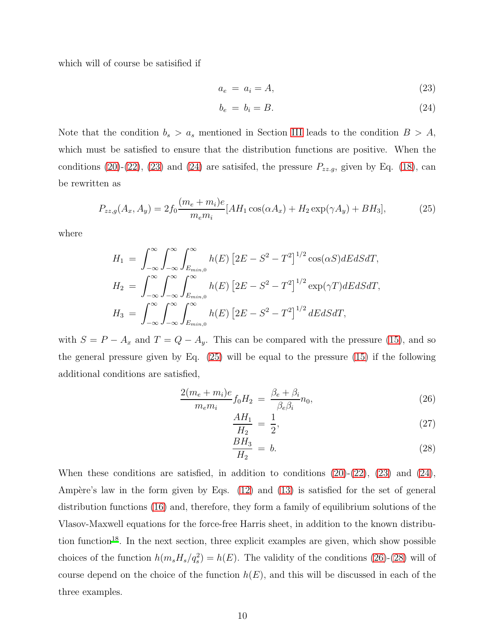which will of course be satisified if

<span id="page-9-0"></span>
$$
a_e = a_i = A,\tag{23}
$$

$$
b_e = b_i = B. \tag{24}
$$

Note that the condition  $b_s > a_s$  mentioned in Section [III](#page-4-0) leads to the condition  $B > A$ , which must be satisfied to ensure that the distribution functions are positive. When the conditions [\(20\)](#page-8-1)-[\(22\)](#page-8-1), [\(23\)](#page-9-0) and [\(24\)](#page-9-0) are satisfied, the pressure  $P_{zz,g}$ , given by Eq. [\(18\)](#page-7-2), can be rewritten as

<span id="page-9-1"></span>
$$
P_{zz,g}(A_x, A_y) = 2f_0 \frac{(m_e + m_i)e}{m_e m_i} [AH_1 \cos(\alpha A_x) + H_2 \exp(\gamma A_y) + BH_3],\tag{25}
$$

where

$$
H_1 = \int_{-\infty}^{\infty} \int_{-\infty}^{\infty} \int_{E_{min,0}}^{\infty} h(E) \left[ 2E - S^2 - T^2 \right]^{1/2} \cos(\alpha S) dE dS dT,
$$
  
\n
$$
H_2 = \int_{-\infty}^{\infty} \int_{-\infty}^{\infty} \int_{E_{min,0}}^{\infty} h(E) \left[ 2E - S^2 - T^2 \right]^{1/2} \exp(\gamma T) dE dS dT,
$$
  
\n
$$
H_3 = \int_{-\infty}^{\infty} \int_{-\infty}^{\infty} \int_{E_{min,0}}^{\infty} h(E) \left[ 2E - S^2 - T^2 \right]^{1/2} dE dS dT,
$$

with  $S = P - A_x$  and  $T = Q - A_y$ . This can be compared with the pressure [\(15\)](#page-6-2), and so the general pressure given by Eq. [\(25\)](#page-9-1) will be equal to the pressure [\(15\)](#page-6-2) if the following additional conditions are satisfied,

<span id="page-9-2"></span>
$$
\frac{2(m_e + m_i)e}{m_e m_i} f_0 H_2 = \frac{\beta_e + \beta_i}{\beta_e \beta_i} n_0,
$$
\n(26)

$$
\frac{AH_1}{H_2} = \frac{1}{2},\tag{27}
$$

$$
\frac{BH_3}{H_2} = b. \tag{28}
$$

When these conditions are satisfied, in addition to conditions  $(20)-(22)$  $(20)-(22)$ ,  $(23)$  and  $(24)$ , Ampère's law in the form given by Eqs.  $(12)$  and  $(13)$  is satisfied for the set of general distribution functions [\(16\)](#page-7-1) and, therefore, they form a family of equilibrium solutions of the Vlasov-Maxwell equations for the force-free Harris sheet, in addition to the known distribu-tion function<sup>[18](#page-18-4)</sup>. In the next section, three explicit examples are given, which show possible choices of the function  $h(m_s H_s/q_s^2) = h(E)$ . The validity of the conditions [\(26\)](#page-9-2)-[\(28\)](#page-9-2) will of course depend on the choice of the function  $h(E)$ , and this will be discussed in each of the three examples.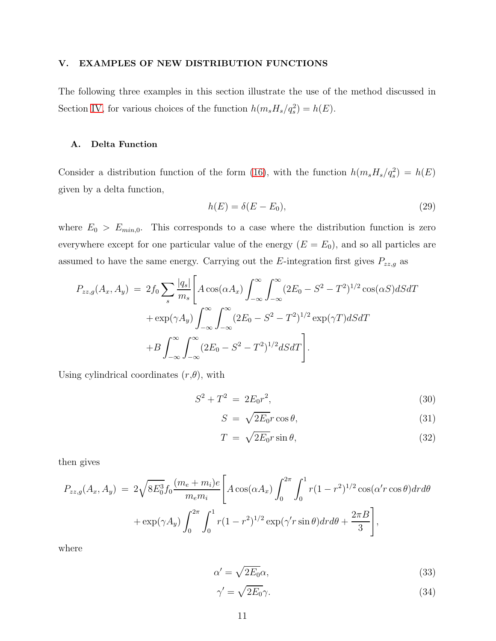# <span id="page-10-0"></span>V. EXAMPLES OF NEW DISTRIBUTION FUNCTIONS

The following three examples in this section illustrate the use of the method discussed in Section [IV,](#page-7-0) for various choices of the function  $h(m_s H_s/q_s^2) = h(E)$ .

#### A. Delta Function

Consider a distribution function of the form [\(16\)](#page-7-1), with the function  $h(m_sH_s/q_s^2) = h(E)$ given by a delta function,

<span id="page-10-1"></span>
$$
h(E) = \delta(E - E_0),\tag{29}
$$

where  $E_0 > E_{min,0}$ . This corresponds to a case where the distribution function is zero everywhere except for one particular value of the energy  $(E = E_0)$ , and so all particles are assumed to have the same energy. Carrying out the E-integration first gives  $P_{zz,g}$  as

$$
P_{zz,g}(A_x, A_y) = 2f_0 \sum_{s} \frac{|q_s|}{m_s} \left[ A \cos(\alpha A_x) \int_{-\infty}^{\infty} \int_{-\infty}^{\infty} (2E_0 - S^2 - T^2)^{1/2} \cos(\alpha S) dS dT + \exp(\gamma A_y) \int_{-\infty}^{\infty} \int_{-\infty}^{\infty} (2E_0 - S^2 - T^2)^{1/2} \exp(\gamma T) dS dT + B \int_{-\infty}^{\infty} \int_{-\infty}^{\infty} (2E_0 - S^2 - T^2)^{1/2} dS dT \right].
$$

Using cylindrical coordinates  $(r,\theta)$ , with

<span id="page-10-2"></span>
$$
S^2 + T^2 = 2E_0 r^2, \tag{30}
$$

$$
S = \sqrt{2E_0}r\cos\theta,\tag{31}
$$

$$
T = \sqrt{2E_0}r\sin\theta,\tag{32}
$$

then gives

$$
P_{zz,g}(A_x, A_y) = 2\sqrt{8E_0^3} f_0 \frac{(m_e + m_i)e}{m_e m_i} \left[ A \cos(\alpha A_x) \int_0^{2\pi} \int_0^1 r(1 - r^2)^{1/2} \cos(\alpha' r \cos \theta) dr d\theta + \exp(\gamma A_y) \int_0^{2\pi} \int_0^1 r(1 - r^2)^{1/2} \exp(\gamma' r \sin \theta) dr d\theta + \frac{2\pi B}{3} \right],
$$

where

<span id="page-10-3"></span>
$$
\alpha' = \sqrt{2E_0}\alpha,\tag{33}
$$

$$
\gamma' = \sqrt{2E_0}\gamma. \tag{34}
$$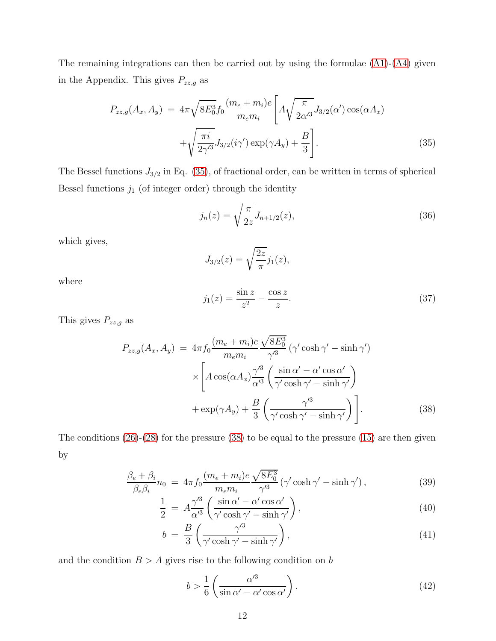The remaining integrations can then be carried out by using the formulae [\(A1\)](#page-17-0)-[\(A4\)](#page-18-14) given in the Appendix. This gives  $P_{zz,g}$  as

<span id="page-11-0"></span>
$$
P_{zz,g}(A_x, A_y) = 4\pi \sqrt{8E_0^3} f_0 \frac{(m_e + m_i)e}{m_e m_i} \left[ A \sqrt{\frac{\pi}{2\alpha'^3}} J_{3/2}(\alpha') \cos(\alpha A_x) + \sqrt{\frac{\pi i}{2\gamma'^3}} J_{3/2}(i\gamma') \exp(\gamma A_y) + \frac{B}{3} \right].
$$
\n(35)

The Bessel functions  $J_{3/2}$  in Eq. [\(35\)](#page-11-0), of fractional order, can be written in terms of spherical Bessel functions  $j_1$  (of integer order) through the identity

<span id="page-11-3"></span>
$$
j_n(z) = \sqrt{\frac{\pi}{2z}} J_{n+1/2}(z),
$$
\n(36)

which gives,

$$
J_{3/2}(z) = \sqrt{\frac{2z}{\pi}} j_1(z),
$$

where

<span id="page-11-4"></span>
$$
j_1(z) = \frac{\sin z}{z^2} - \frac{\cos z}{z}.
$$
 (37)

This gives  $P_{zz,g}$  as

<span id="page-11-1"></span>
$$
P_{zz,g}(A_x, A_y) = 4\pi f_0 \frac{(m_e + m_i)e}{m_e m_i} \frac{\sqrt{8E_0^3}}{\gamma'^3} (\gamma' \cosh \gamma' - \sinh \gamma')
$$
  

$$
\times \left[ A \cos(\alpha A_x) \frac{\gamma'^3}{\alpha'^3} \left( \frac{\sin \alpha' - \alpha' \cos \alpha'}{\gamma' \cosh \gamma' - \sinh \gamma'} \right) + \exp(\gamma A_y) + \frac{B}{3} \left( \frac{\gamma'^3}{\gamma' \cosh \gamma' - \sinh \gamma'} \right) \right].
$$
 (38)

The conditions  $(26)-(28)$  $(26)-(28)$  for the pressure  $(38)$  to be equal to the pressure  $(15)$  are then given by

<span id="page-11-2"></span>
$$
\frac{\beta_e + \beta_i}{\beta_e \beta_i} n_0 = 4\pi f_0 \frac{(m_e + m_i)e}{m_e m_i} \frac{\sqrt{8E_0^3}}{\gamma'^3} \left(\gamma' \cosh \gamma' - \sinh \gamma'\right),\tag{39}
$$

$$
\frac{1}{2} = A \frac{\gamma'^3}{\alpha'^3} \left( \frac{\sin \alpha' - \alpha' \cos \alpha'}{\gamma' \cosh \gamma' - \sinh \gamma'} \right),\tag{40}
$$

$$
b = \frac{B}{3} \left( \frac{\gamma'^3}{\gamma' \cosh \gamma' - \sinh \gamma'} \right),\tag{41}
$$

and the condition  $B > A$  gives rise to the following condition on b

$$
b > \frac{1}{6} \left( \frac{\alpha'^3}{\sin \alpha' - \alpha' \cos \alpha'} \right). \tag{42}
$$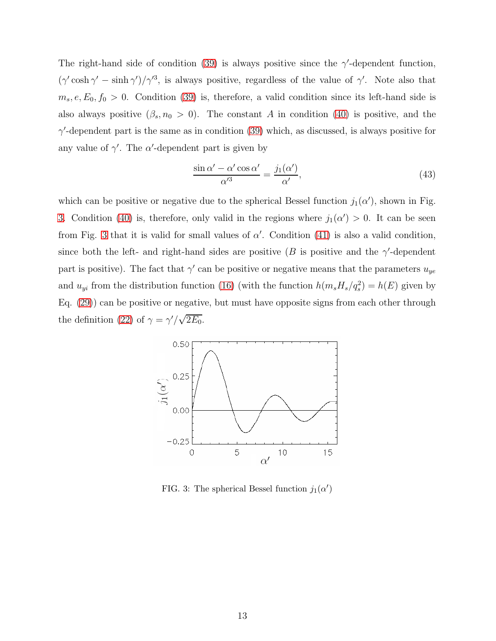The right-hand side of condition [\(39\)](#page-11-2) is always positive since the  $\gamma'$ -dependent function,  $(\gamma' \cosh \gamma' - \sinh \gamma')/\gamma'^3$ , is always positive, regardless of the value of  $\gamma'$ . Note also that  $m_s, e, E_0, f_0 > 0$ . Condition [\(39\)](#page-11-2) is, therefore, a valid condition since its left-hand side is also always positive  $(\beta_s, n_0 > 0)$ . The constant A in condition [\(40\)](#page-11-2) is positive, and the  $\gamma'$ -dependent part is the same as in condition [\(39\)](#page-11-2) which, as discussed, is always positive for any value of  $\gamma'$ . The  $\alpha'$ -dependent part is given by

$$
\frac{\sin \alpha' - \alpha' \cos \alpha'}{\alpha'^3} = \frac{j_1(\alpha')}{\alpha'},\tag{43}
$$

which can be positive or negative due to the spherical Bessel function  $j_1(\alpha')$ , shown in Fig. [3.](#page-12-0) Condition [\(40\)](#page-11-2) is, therefore, only valid in the regions where  $j_1(\alpha') > 0$ . It can be seen from Fig. [3](#page-12-0) that it is valid for small values of  $\alpha'$ . Condition [\(41\)](#page-11-2) is also a valid condition, since both the left- and right-hand sides are positive (B is positive and the  $\gamma'$ -dependent part is positive). The fact that  $\gamma'$  can be positive or negative means that the parameters  $u_{ye}$ and  $u_{yi}$  from the distribution function [\(16\)](#page-7-1) (with the function  $h(m_s H_s/q_s^2) = h(E)$  given by Eq. [\(29\)](#page-10-1)) can be positive or negative, but must have opposite signs from each other through the definition [\(22\)](#page-8-1) of  $\gamma = \gamma'/\sqrt{2E_0}$ .



<span id="page-12-0"></span>FIG. 3: The spherical Bessel function  $j_1(\alpha')$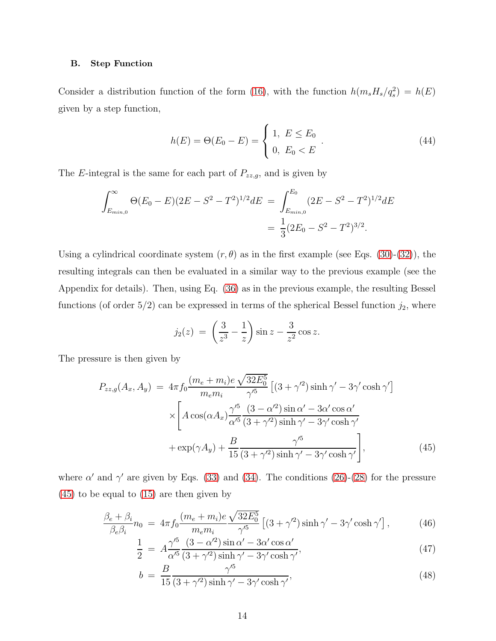## B. Step Function

Consider a distribution function of the form [\(16\)](#page-7-1), with the function  $h(m_s H_s/q_s^2) = h(E)$ given by a step function,

<span id="page-13-2"></span>
$$
h(E) = \Theta(E_0 - E) = \begin{cases} 1, & E \le E_0 \\ 0, & E_0 < E \end{cases} \tag{44}
$$

The E-integral is the same for each part of  $P_{zz,g}$ , and is given by

$$
\int_{E_{min,0}}^{\infty} \Theta(E_0 - E)(2E - S^2 - T^2)^{1/2} dE = \int_{E_{min,0}}^{E_0} (2E - S^2 - T^2)^{1/2} dE
$$
  
= 
$$
\frac{1}{3} (2E_0 - S^2 - T^2)^{3/2}.
$$

Using a cylindrical coordinate system  $(r, \theta)$  as in the first example (see Eqs. [\(30\)](#page-10-2)-[\(32\)](#page-10-2)), the resulting integrals can then be evaluated in a similar way to the previous example (see the Appendix for details). Then, using Eq. [\(36\)](#page-11-3) as in the previous example, the resulting Bessel functions (of order  $5/2$ ) can be expressed in terms of the spherical Bessel function  $j_2$ , where

$$
j_2(z) = \left(\frac{3}{z^3} - \frac{1}{z}\right) \sin z - \frac{3}{z^2} \cos z.
$$

The pressure is then given by

<span id="page-13-0"></span>
$$
P_{zz,g}(A_x, A_y) = 4\pi f_0 \frac{(m_e + m_i)e}{m_e m_i} \frac{\sqrt{32E_0^5}}{\gamma'^5} \left[ (3 + \gamma'^2) \sinh \gamma' - 3\gamma' \cosh \gamma' \right]
$$

$$
\times \left[ A \cos(\alpha A_x) \frac{\gamma'^5}{\alpha'^5} \frac{(3 - \alpha'^2) \sin \alpha' - 3\alpha' \cos \alpha'}{(3 + \gamma'^2) \sinh \gamma' - 3\gamma' \cosh \gamma' + \exp(\gamma A_y) + \frac{B}{15} \frac{\gamma'^5}{(3 + \gamma'^2) \sinh \gamma' - 3\gamma' \cosh \gamma'} \right],
$$
(45)

where  $\alpha'$  and  $\gamma'$  are given by Eqs. [\(33\)](#page-10-3) and [\(34\)](#page-10-3). The conditions [\(26\)](#page-9-2)-[\(28\)](#page-9-2) for the pressure [\(45\)](#page-13-0) to be equal to [\(15\)](#page-6-2) are then given by

<span id="page-13-1"></span>
$$
\frac{\beta_e + \beta_i}{\beta_e \beta_i} n_0 = 4\pi f_0 \frac{(m_e + m_i)e}{m_e m_i} \frac{\sqrt{32E_0^5}}{\gamma^5} \left[ (3 + \gamma'^2) \sinh \gamma' - 3\gamma' \cosh \gamma' \right],\tag{46}
$$

$$
\frac{1}{2} = A \frac{\gamma'^5}{\alpha'^5} \frac{(3 - \alpha'^2) \sin \alpha' - 3\alpha' \cos \alpha'}{(3 + \gamma'^2) \sinh \gamma' - 3\gamma' \cosh \gamma'},\tag{47}
$$

$$
b = \frac{B}{15} \frac{\gamma'^5}{(3 + \gamma'^2)\sinh\gamma' - 3\gamma'\cosh\gamma'},\tag{48}
$$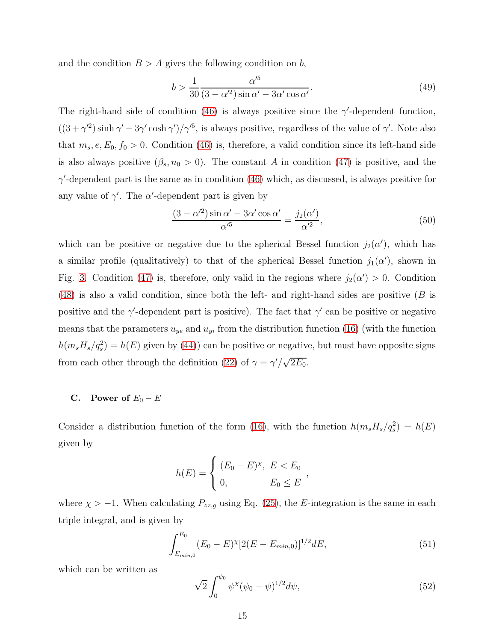and the condition  $B > A$  gives the following condition on b,

$$
b > \frac{1}{30} \frac{\alpha'^5}{(3 - \alpha'^2) \sin \alpha' - 3\alpha' \cos \alpha'}.
$$
\n(49)

The right-hand side of condition [\(46\)](#page-13-1) is always positive since the  $\gamma'$ -dependent function,  $((3 + \gamma^2) \sinh \gamma' - 3\gamma' \cosh \gamma')/\gamma^{5}$ , is always positive, regardless of the value of  $\gamma'$ . Note also that  $m_s, e, E_0, f_0 > 0$ . Condition [\(46\)](#page-13-1) is, therefore, a valid condition since its left-hand side is also always positive  $(\beta_s, n_0 > 0)$ . The constant A in condition [\(47\)](#page-13-1) is positive, and the  $\gamma'$ -dependent part is the same as in condition [\(46\)](#page-13-1) which, as discussed, is always positive for any value of  $\gamma'$ . The  $\alpha'$ -dependent part is given by

$$
\frac{(3 - \alpha'^2)\sin\alpha' - 3\alpha'\cos\alpha'}{\alpha'^5} = \frac{j_2(\alpha')}{\alpha'^2},\tag{50}
$$

which can be positive or negative due to the spherical Bessel function  $j_2(\alpha')$ , which has a similar profile (qualitatively) to that of the spherical Bessel function  $j_1(\alpha')$ , shown in Fig. [3.](#page-12-0) Condition [\(47\)](#page-13-1) is, therefore, only valid in the regions where  $j_2(\alpha') > 0$ . Condition  $(48)$  is also a valid condition, since both the left- and right-hand sides are positive  $(B \text{ is } 1)$ positive and the  $\gamma'$ -dependent part is positive). The fact that  $\gamma'$  can be positive or negative means that the parameters  $u_{ye}$  and  $u_{yi}$  from the distribution function [\(16\)](#page-7-1) (with the function  $h(m_s H_s/q_s^2) = h(E)$  given by [\(44\)](#page-13-2)) can be positive or negative, but must have opposite signs from each other through the definition [\(22\)](#page-8-1) of  $\gamma = \gamma'/\sqrt{2E_0}$ .

### C. Power of  $E_0 - E$

Consider a distribution function of the form [\(16\)](#page-7-1), with the function  $h(m_s H_s/q_s^2) = h(E)$ given by

$$
h(E) = \begin{cases} (E_0 - E)^{\chi}, & E < E_0 \\ 0, & E_0 \le E \end{cases}
$$

where  $\chi > -1$ . When calculating  $P_{zz,g}$  using Eq. [\(25\)](#page-9-1), the E-integration is the same in each triple integral, and is given by

<span id="page-14-1"></span>
$$
\int_{E_{min,0}}^{E_0} (E_0 - E)^{\chi} [2(E - E_{min,0})]^{1/2} dE, \tag{51}
$$

which can be written as

<span id="page-14-0"></span>
$$
\sqrt{2} \int_0^{\psi_0} \psi^\chi (\psi_0 - \psi)^{1/2} d\psi,\tag{52}
$$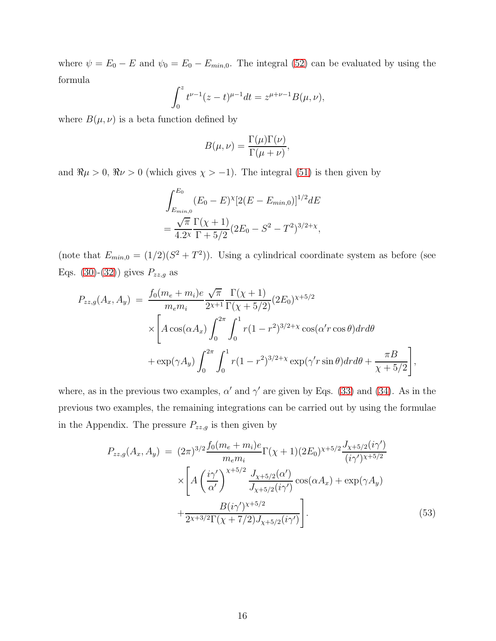where  $\psi = E_0 - E$  and  $\psi_0 = E_0 - E_{min,0}$ . The integral [\(52\)](#page-14-0) can be evaluated by using the formula

$$
\int_0^z t^{\nu-1}(z-t)^{\mu-1}dt = z^{\mu+\nu-1}B(\mu,\nu),
$$

where  $B(\mu, \nu)$  is a beta function defined by

$$
B(\mu, \nu) = \frac{\Gamma(\mu)\Gamma(\nu)}{\Gamma(\mu + \nu)},
$$

and  $\Re \mu > 0$ ,  $\Re \nu > 0$  (which gives  $\chi > -1$ ). The integral [\(51\)](#page-14-1) is then given by

$$
\int_{E_{min,0}}^{E_0} (E_0 - E)^{\chi} [2(E - E_{min,0})]^{1/2} dE
$$
  
= 
$$
\frac{\sqrt{\pi}}{4.2\chi} \frac{\Gamma(\chi + 1)}{\Gamma + 5/2} (2E_0 - S^2 - T^2)^{3/2 + \chi},
$$

(note that  $E_{min,0} = (1/2)(S^2 + T^2)$ ). Using a cylindrical coordinate system as before (see Eqs. [\(30\)](#page-10-2)-[\(32\)](#page-10-2)) gives  $P_{zz,g}$  as

$$
P_{zz,g}(A_x, A_y) = \frac{f_0(m_e + m_i)e}{m_e m_i} \frac{\sqrt{\pi}}{2x+1} \frac{\Gamma(\chi+1)}{\Gamma(\chi+5/2)} (2E_0)^{\chi+5/2}
$$
  
 
$$
\times \left[ A \cos(\alpha A_x) \int_0^{2\pi} \int_0^1 r(1-r^2)^{3/2+\chi} \cos(\alpha' r \cos \theta) dr d\theta + \exp(\gamma A_y) \int_0^{2\pi} \int_0^1 r(1-r^2)^{3/2+\chi} \exp(\gamma' r \sin \theta) dr d\theta + \frac{\pi B}{\chi+5/2} \right],
$$

where, as in the previous two examples,  $\alpha'$  and  $\gamma'$  are given by Eqs. [\(33\)](#page-10-3) and [\(34\)](#page-10-3). As in the previous two examples, the remaining integrations can be carried out by using the formulae in the Appendix. The pressure  $P_{zz,g}$  is then given by

<span id="page-15-0"></span>
$$
P_{zz,g}(A_x, A_y) = (2\pi)^{3/2} \frac{f_0(m_e + m_i)e}{m_e m_i} \Gamma(\chi + 1)(2E_0)^{\chi + 5/2} \frac{J_{\chi + 5/2}(i\gamma')}{(i\gamma')^{\chi + 5/2}} \\
\times \left[ A \left( \frac{i\gamma'}{\alpha'} \right)^{\chi + 5/2} \frac{J_{\chi + 5/2}(\alpha')}{J_{\chi + 5/2}(i\gamma')} \cos(\alpha A_x) + \exp(\gamma A_y) + \frac{B(i\gamma')^{\chi + 5/2}}{2\chi + 3/2} \Gamma(\chi + 7/2) J_{\chi + 5/2}(i\gamma') \right].
$$
\n(53)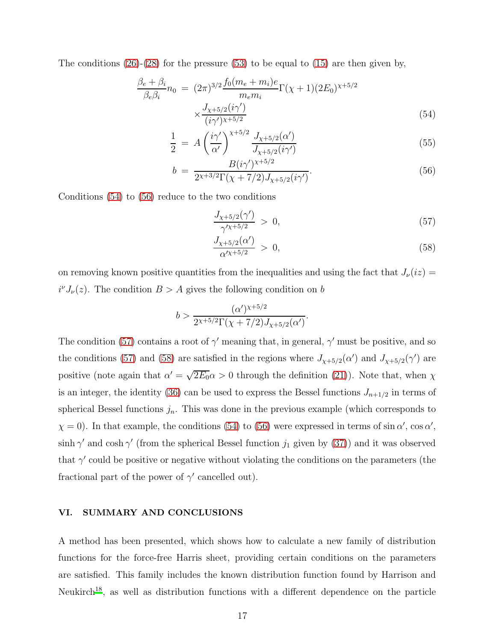The conditions  $(26)-(28)$  $(26)-(28)$  for the pressure  $(53)$  to be equal to  $(15)$  are then given by,

<span id="page-16-1"></span>
$$
\frac{\beta_e + \beta_i}{\beta_e \beta_i} n_0 = (2\pi)^{3/2} \frac{f_0(m_e + m_i)e}{m_e m_i} \Gamma(\chi + 1)(2E_0)^{\chi + 5/2} \times \frac{J_{\chi + 5/2}(i\gamma')}{(i\gamma)^{\chi + 5/2}} \tag{54}
$$

$$
\frac{1}{2} = A \left(\frac{i\gamma'}{\alpha'}\right)^{\chi+5/2} \frac{J_{\chi+5/2}(\alpha')}{J_{\chi+5/2}(i\gamma')} \tag{55}
$$

$$
b = \frac{B(i\gamma')^{\chi+5/2}}{2^{\chi+3/2}\Gamma(\chi+7/2)J_{\chi+5/2}(i\gamma')}.
$$
\n(56)

Conditions [\(54\)](#page-16-1) to [\(56\)](#page-16-1) reduce to the two conditions

<span id="page-16-2"></span>
$$
\frac{J_{\chi+5/2}(\gamma')}{\gamma'^{\chi+5/2}} > 0,
$$
\n(57)

$$
\frac{J_{\chi+5/2}(\alpha')}{\alpha'^{\chi+5/2}} > 0,
$$
\n(58)

on removing known positive quantities from the inequalities and using the fact that  $J_{\nu}(iz)$  =  $i^{\nu}J_{\nu}(z)$ . The condition  $B > A$  gives the following condition on b

$$
b > \frac{(\alpha')^{\chi+5/2}}{2^{\chi+5/2}\Gamma(\chi+7/2)J_{\chi+5/2}(\alpha')}.
$$

The condition [\(57\)](#page-16-2) contains a root of  $\gamma'$  meaning that, in general,  $\gamma'$  must be positive, and so the conditions [\(57\)](#page-16-2) and [\(58\)](#page-16-2) are satisfied in the regions where  $J_{\chi+5/2}(\alpha')$  and  $J_{\chi+5/2}(\gamma')$  are positive (note again that  $\alpha' = \sqrt{2E_0} \alpha > 0$  through the definition [\(21\)](#page-8-1)). Note that, when  $\chi$ is an integer, the identity [\(36\)](#page-11-3) can be used to express the Bessel functions  $J_{n+1/2}$  in terms of spherical Bessel functions  $j_n$ . This was done in the previous example (which corresponds to  $\chi = 0$ ). In that example, the conditions [\(54\)](#page-16-1) to [\(56\)](#page-16-1) were expressed in terms of sin  $\alpha'$ , cos  $\alpha'$ ,  $\sinh \gamma'$  and  $\cosh \gamma'$  (from the spherical Bessel function  $j_1$  given by [\(37\)](#page-11-4)) and it was observed that  $\gamma'$  could be positive or negative without violating the conditions on the parameters (the fractional part of the power of  $\gamma'$  cancelled out).

#### <span id="page-16-0"></span>VI. SUMMARY AND CONCLUSIONS

A method has been presented, which shows how to calculate a new family of distribution functions for the force-free Harris sheet, providing certain conditions on the parameters are satisfied. This family includes the known distribution function found by Harrison and Neukirch<sup>[18](#page-18-4)</sup>, as well as distribution functions with a different dependence on the particle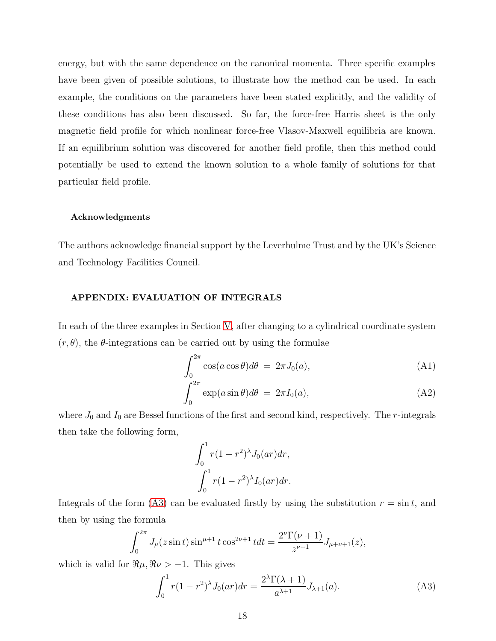energy, but with the same dependence on the canonical momenta. Three specific examples have been given of possible solutions, to illustrate how the method can be used. In each example, the conditions on the parameters have been stated explicitly, and the validity of these conditions has also been discussed. So far, the force-free Harris sheet is the only magnetic field profile for which nonlinear force-free Vlasov-Maxwell equilibria are known. If an equilibrium solution was discovered for another field profile, then this method could potentially be used to extend the known solution to a whole family of solutions for that particular field profile.

#### Acknowledgments

The authors acknowledge financial support by the Leverhulme Trust and by the UK's Science and Technology Facilities Council.

## APPENDIX: EVALUATION OF INTEGRALS

In each of the three examples in Section [V,](#page-10-0) after changing to a cylindrical coordinate system  $(r, \theta)$ , the  $\theta$ -integrations can be carried out by using the formulae

<span id="page-17-0"></span>
$$
\int_0^{2\pi} \cos(a\cos\theta)d\theta = 2\pi J_0(a),\tag{A1}
$$

$$
\int_0^{2\pi} \exp(a\sin\theta)d\theta = 2\pi I_0(a),\tag{A2}
$$

where  $J_0$  and  $I_0$  are Bessel functions of the first and second kind, respectively. The r-integrals then take the following form,

$$
\int_0^1 r(1-r^2)^{\lambda} J_0(ar)dr,
$$
  

$$
\int_0^1 r(1-r^2)^{\lambda} I_0(ar)dr.
$$

Integrals of the form [\(A3\)](#page-17-1) can be evaluated firstly by using the substitution  $r = \sin t$ , and then by using the formula

$$
\int_0^{2\pi} J_\mu(z \sin t) \sin^{\mu+1} t \cos^{2\nu+1} t dt = \frac{2^\nu \Gamma(\nu+1)}{z^{\nu+1}} J_{\mu+\nu+1}(z),
$$

which is valid for  $\Re \mu$ ,  $\Re \nu > -1$ . This gives

<span id="page-17-1"></span>
$$
\int_0^1 r(1 - r^2)^{\lambda} J_0(ar) dr = \frac{2^{\lambda} \Gamma(\lambda + 1)}{a^{\lambda + 1}} J_{\lambda + 1}(a). \tag{A3}
$$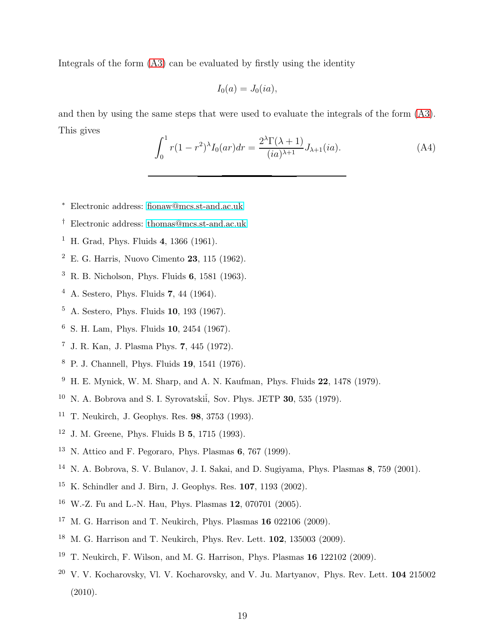Integrals of the form [\(A3\)](#page-17-1) can be evaluated by firstly using the identity

$$
I_0(a) = J_0(ia),
$$

and then by using the same steps that were used to evaluate the integrals of the form [\(A3\)](#page-17-1). This gives

<span id="page-18-14"></span>
$$
\int_0^1 r(1-r^2)^{\lambda} I_0(ar)dr = \frac{2^{\lambda} \Gamma(\lambda+1)}{(ia)^{\lambda+1}} J_{\lambda+1}(ia). \tag{A4}
$$

- <span id="page-18-0"></span><sup>∗</sup> Electronic address: [fionaw@mcs.st-and.ac.uk](mailto:fionaw@mcs.st-and.ac.uk)
- <span id="page-18-1"></span>† Electronic address: [thomas@mcs.st-and.ac.uk](mailto:thomas@mcs.st-and.ac.uk)
- <span id="page-18-2"></span><sup>1</sup> H. Grad, Phys. Fluids 4, 1366 (1961).
- <span id="page-18-10"></span><sup>2</sup> E. G. Harris, Nuovo Cimento 23, 115 (1962).
- <sup>3</sup> R. B. Nicholson, Phys. Fluids 6, 1581 (1963).
- <sup>4</sup> A. Sestero, Phys. Fluids 7, 44 (1964).
- <span id="page-18-5"></span><sup>5</sup> A. Sestero, Phys. Fluids 10, 193 (1967).
- <sup>6</sup> S. H. Lam, Phys. Fluids 10, 2454 (1967).
- <sup>7</sup> J. R. Kan, J. Plasma Phys. 7, 445 (1972).
- <span id="page-18-6"></span><sup>8</sup> P. J. Channell, Phys. Fluids 19, 1541 (1976).
- <span id="page-18-13"></span> $9$  H. E. Mynick, W. M. Sharp, and A. N. Kaufman, Phys. Fluids 22, 1478 (1979).
- <span id="page-18-7"></span> $10$  N. A. Bobrova and S. I. Syrovatskiĭ, Sov. Phys. JETP 30, 535 (1979).
- $11$  T. Neukirch, J. Geophys. Res. 98, 3753 (1993).
- <sup>12</sup> J. M. Greene, Phys. Fluids B 5, 1715 (1993).
- $13$  N. Attico and F. Pegoraro, Phys. Plasmas 6, 767 (1999).
- <span id="page-18-8"></span><sup>14</sup> N. A. Bobrova, S. V. Bulanov, J. I. Sakai, and D. Sugiyama, Phys. Plasmas 8, 759 (2001).
- <sup>15</sup> K. Schindler and J. Birn, J. Geophys. Res. 107, 1193 (2002).
- <span id="page-18-9"></span><sup>16</sup> W.-Z. Fu and L.-N. Hau, Phys. Plasmas 12, 070701 (2005).
- <span id="page-18-12"></span><sup>17</sup> M. G. Harrison and T. Neukirch, Phys. Plasmas  $16\ 022106\ (2009)$ .
- <span id="page-18-4"></span><sup>18</sup> M. G. Harrison and T. Neukirch, Phys. Rev. Lett. 102, 135003 (2009).
- <span id="page-18-3"></span><sup>19</sup> T. Neukirch, F. Wilson, and M. G. Harrison, Phys. Plasmas  $16$  122102 (2009).
- <span id="page-18-11"></span><sup>20</sup> V. V. Kocharovsky, Vl. V. Kocharovsky, and V. Ju. Martyanov, Phys. Rev. Lett. 104 215002 (2010).